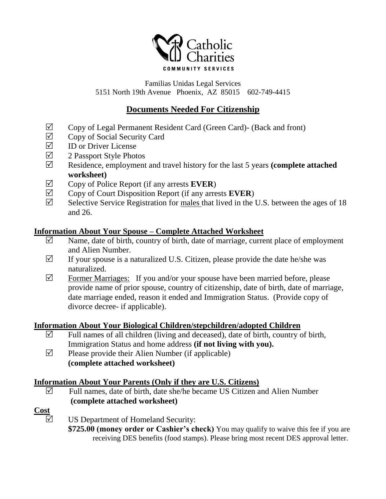

Familias Unidas Legal Services 5151 North 19th Avenue Phoenix, AZ 85015 602-749-4415

# **Documents Needed For Citizenship**

- $\boxtimes$  Copy of Legal Permanent Resident Card (Green Card)- (Back and front)<br>  $\boxtimes$  Cony of Social Security Card
- $\Box$  Copy of Social Security Card<br>  $\Box$  ID or Driver License
- ID or Driver License
- $\triangledown$  2 Passport Style Photos
- Residence, employment and travel history for the last 5 years **(complete attached worksheet)**
- $\triangledown$  Copy of Police Report (if any arrests **EVER**)
- $\boxtimes$  Copy of Court Disposition Report (if any arrests **EVER**)
- $\boxtimes$  Selective Service Registration for males that lived in the U.S. between the ages of 18 and 26.

### **Information About Your Spouse – Complete Attached Worksheet**

- $\boxtimes$  Name, date of birth, country of birth, date of marriage, current place of employment and Alien Number.
- $\triangledown$  If your spouse is a naturalized U.S. Citizen, please provide the date he/she was naturalized.
- $\triangledown$  Former Marriages: If you and/or your spouse have been married before, please provide name of prior spouse, country of citizenship, date of birth, date of marriage, date marriage ended, reason it ended and Immigration Status. (Provide copy of divorce decree- if applicable).

### **Information About Your Biological Children/stepchildren/adopted Children**

- $\triangledown$  Full names of all children (living and deceased), date of birth, country of birth, Immigration Status and home address **(if not living with you).**
- $\triangledown$  Please provide their Alien Number (if applicable) **(complete attached worksheet)**

### **Information About Your Parents (Only if they are U.S. Citizens)**

 $\triangledown$  Full names, date of birth, date she/he became US Citizen and Alien Number **(complete attached worksheet)**

### **Cost**

 $\boxtimes$  US Department of Homeland Security:

**\$725.00 (money order or Cashier's check)** You may qualify to waive this fee if you are receiving DES benefits (food stamps). Please bring most recent DES approval letter.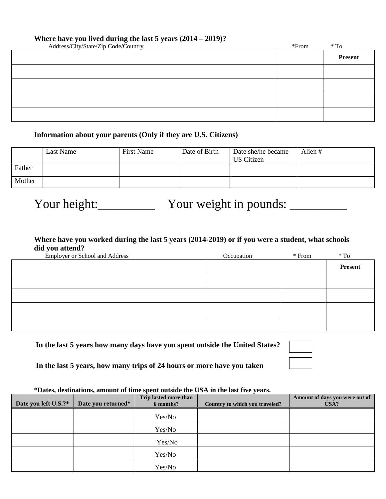#### **Where have you lived during the last 5 years (2014 – 2019)?**

| Address/City/State/Zip Code/Country | $*$ From | $*$ To         |
|-------------------------------------|----------|----------------|
|                                     |          | <b>Present</b> |
|                                     |          |                |
|                                     |          |                |
|                                     |          |                |
|                                     |          |                |

### **Information about your parents (Only if they are U.S. Citizens)**

|        | Last Name | <b>First Name</b> | Date of Birth | Date she/he became<br><b>US</b> Citizen | Alien# |
|--------|-----------|-------------------|---------------|-----------------------------------------|--------|
| Father |           |                   |               |                                         |        |
| Mother |           |                   |               |                                         |        |

Your height:\_\_\_\_\_\_\_\_\_\_ Your weight in pounds: \_\_\_\_\_\_\_\_\_\_

### **Where have you worked during the last 5 years (2014-2019) or if you were a student, what schools did you attend?**

| <b>Employer or School and Address</b> | Occupation | $*$ From | $*$ To         |
|---------------------------------------|------------|----------|----------------|
|                                       |            |          | <b>Present</b> |
|                                       |            |          |                |
|                                       |            |          |                |
|                                       |            |          |                |
|                                       |            |          |                |

**In the last 5 years how many days have you spent outside the United States?**

**In the last 5 years, how many trips of 24 hours or more have you taken** 

#### **\*Dates, destinations, amount of time spent outside the USA in the last five years.**

| Date you left U.S.?* | Date you returned* | Trip lasted more than<br>6 months? | Country to which you traveled? | Amount of days you were out of<br>USA? |
|----------------------|--------------------|------------------------------------|--------------------------------|----------------------------------------|
|                      |                    | Yes/No                             |                                |                                        |
|                      |                    | Yes/No                             |                                |                                        |
|                      |                    | Yes/No                             |                                |                                        |
|                      |                    | Yes/No                             |                                |                                        |
|                      |                    | Yes/No                             |                                |                                        |